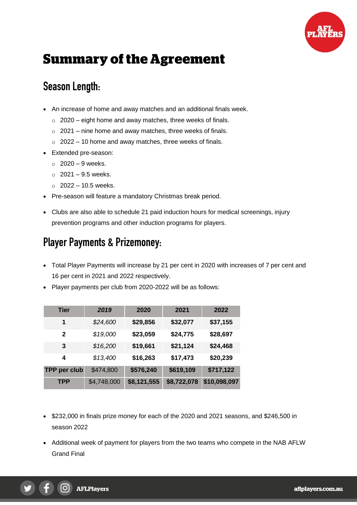

# **Summary of the Agreement**

# **Season Length:**

- An increase of home and away matches and an additional finals week.
	- $\circ$  2020 eight home and away matches, three weeks of finals.
	- $\circ$  2021 nine home and away matches, three weeks of finals.
	- $\circ$  2022 10 home and away matches, three weeks of finals.
- Extended pre-season:
	- $\circ$  2020 9 weeks.
	- $\circ$  2021 9.5 weeks.
	- $\circ$  2022 10.5 weeks.
- Pre-season will feature a mandatory Christmas break period.
- Clubs are also able to schedule 21 paid induction hours for medical screenings, injury prevention programs and other induction programs for players.

### **Player Payments & Prizemoney:**

- Total Player Payments will increase by 21 per cent in 2020 with increases of 7 per cent and 16 per cent in 2021 and 2022 respectively.
- Player payments per club from 2020-2022 will be as follows:

| Tier                | 2019        | 2020        | 2021        | 2022         |
|---------------------|-------------|-------------|-------------|--------------|
| 1                   | \$24,600    | \$29,856    | \$32,077    | \$37,155     |
| $\mathbf{2}$        | \$19,000    | \$23,059    | \$24,775    | \$28,697     |
| 3                   | \$16,200    | \$19,661    | \$21,124    | \$24,468     |
| 4                   | \$13,400    | \$16,263    | \$17,473    | \$20,239     |
| <b>TPP per club</b> | \$474,800   | \$576,240   | \$619,109   | \$717,122    |
| <b>TPP</b>          | \$4,748,000 | \$8,121,555 | \$8,722,078 | \$10,098,097 |

- \$232,000 in finals prize money for each of the 2020 and 2021 seasons, and \$246,500 in season 2022
- Additional week of payment for players from the two teams who compete in the NAB AFLW Grand Final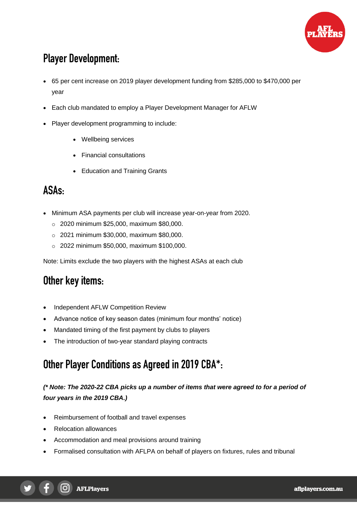

# **Player Development:**

- 65 per cent increase on 2019 player development funding from \$285,000 to \$470,000 per year
- Each club mandated to employ a Player Development Manager for AFLW
- Player development programming to include:
	- Wellbeing services
	- Financial consultations
	- Education and Training Grants

### **ASAs:**

- Minimum ASA payments per club will increase year-on-year from 2020.
	- o 2020 minimum \$25,000, maximum \$80,000.
	- o 2021 minimum \$30,000, maximum \$80,000.
	- o 2022 minimum \$50,000, maximum \$100,000.

Note: Limits exclude the two players with the highest ASAs at each club

#### **Other key items:**

- Independent AFLW Competition Review
- Advance notice of key season dates (minimum four months' notice)
- Mandated timing of the first payment by clubs to players
- The introduction of two-year standard playing contracts

# **Other Player Conditions as Agreed in 2019 CBA\*:**

#### *(\* Note: The 2020-22 CBA picks up a number of items that were agreed to for a period of four years in the 2019 CBA.)*

- Reimbursement of football and travel expenses
- Relocation allowances
- Accommodation and meal provisions around training
- Formalised consultation with AFLPA on behalf of players on fixtures, rules and tribunal